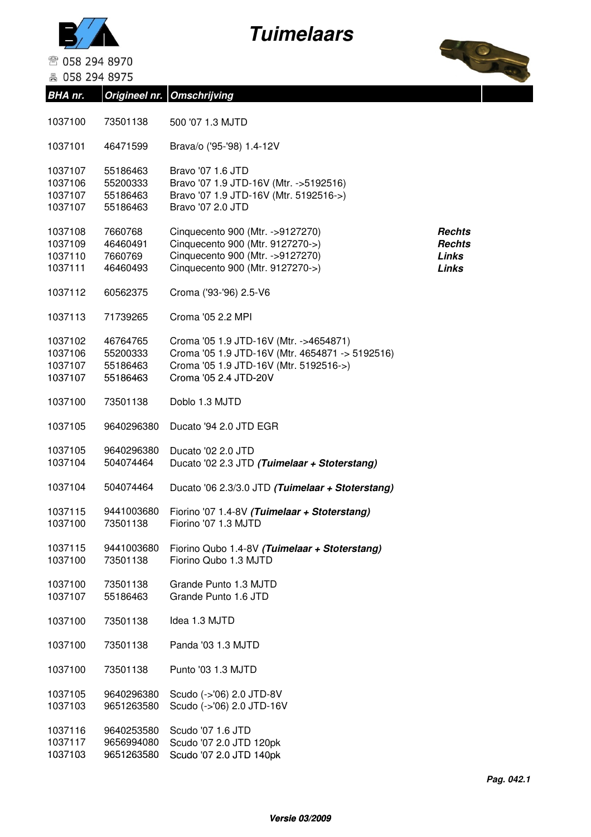



☎ 058 294 8970

■ 058 294 8975

**BHA nr. Origineel nr. Omschrijving**



| 1037100                                  | 73501138                                     | 500 '07 1.3 MJTD                                                                                                                                             |                                                  |
|------------------------------------------|----------------------------------------------|--------------------------------------------------------------------------------------------------------------------------------------------------------------|--------------------------------------------------|
| 1037101                                  | 46471599                                     | Brava/o ('95-'98) 1.4-12V                                                                                                                                    |                                                  |
| 1037107<br>1037106<br>1037107<br>1037107 | 55186463<br>55200333<br>55186463<br>55186463 | Bravo '07 1.6 JTD<br>Bravo '07 1.9 JTD-16V (Mtr. ->5192516)<br>Bravo '07 1.9 JTD-16V (Mtr. 5192516->)<br>Bravo '07 2.0 JTD                                   |                                                  |
| 1037108<br>1037109<br>1037110<br>1037111 | 7660768<br>46460491<br>7660769<br>46460493   | Cinquecento 900 (Mtr. ->9127270)<br>Cinquecento 900 (Mtr. 9127270->)<br>Cinquecento 900 (Mtr. ->9127270)<br>Cinquecento 900 (Mtr. 9127270->)                 | Rechts<br><b>Rechts</b><br>Links<br><b>Links</b> |
| 1037112                                  | 60562375                                     | Croma ('93-'96) 2.5-V6                                                                                                                                       |                                                  |
| 1037113                                  | 71739265                                     | Croma '05 2.2 MPI                                                                                                                                            |                                                  |
| 1037102<br>1037106<br>1037107<br>1037107 | 46764765<br>55200333<br>55186463<br>55186463 | Croma '05 1.9 JTD-16V (Mtr. ->4654871)<br>Croma '05 1.9 JTD-16V (Mtr. 4654871 -> 5192516)<br>Croma '05 1.9 JTD-16V (Mtr. 5192516->)<br>Croma '05 2.4 JTD-20V |                                                  |
| 1037100                                  | 73501138                                     | Doblo 1.3 MJTD                                                                                                                                               |                                                  |
| 1037105                                  | 9640296380                                   | Ducato '94 2.0 JTD EGR                                                                                                                                       |                                                  |
| 1037105<br>1037104                       | 9640296380<br>504074464                      | Ducato '02 2.0 JTD<br>Ducato '02 2.3 JTD (Tuimelaar + Stoterstang)                                                                                           |                                                  |
| 1037104                                  | 504074464                                    | Ducato '06 2.3/3.0 JTD (Tuimelaar + Stoterstang)                                                                                                             |                                                  |
| 1037115<br>1037100                       | 9441003680<br>73501138                       | Fiorino '07 1.4-8V (Tuimelaar + Stoterstang)<br>Fiorino '07 1.3 MJTD                                                                                         |                                                  |
| 1037115<br>1037100                       | 9441003680<br>73501138                       | Fiorino Qubo 1.4-8V (Tuimelaar + Stoterstang)<br>Fiorino Qubo 1.3 MJTD                                                                                       |                                                  |
| 1037100<br>1037107                       | 73501138<br>55186463                         | Grande Punto 1.3 MJTD<br>Grande Punto 1.6 JTD                                                                                                                |                                                  |
| 1037100                                  | 73501138                                     | Idea 1.3 MJTD                                                                                                                                                |                                                  |
| 1037100                                  | 73501138                                     | Panda '03 1.3 MJTD                                                                                                                                           |                                                  |
| 1037100                                  | 73501138                                     | Punto '03 1.3 MJTD                                                                                                                                           |                                                  |
| 1037105<br>1037103                       | 9640296380<br>9651263580                     | Scudo (->'06) 2.0 JTD-8V<br>Scudo (->'06) 2.0 JTD-16V                                                                                                        |                                                  |
| 1037116<br>1037117<br>1037103            | 9640253580<br>9656994080<br>9651263580       | Scudo '07 1.6 JTD<br>Scudo '07 2.0 JTD 120pk<br>Scudo '07 2.0 JTD 140pk                                                                                      |                                                  |